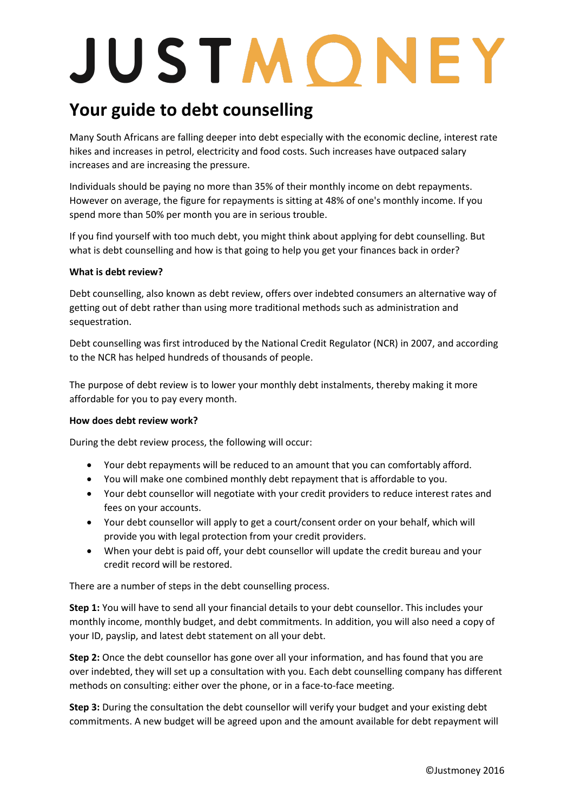# JUSTMONEY

### **Your guide to debt counselling**

Many South Africans are falling deeper into debt especially with the economic decline, interest rate hikes and increases in petrol, electricity and food costs. Such increases have outpaced salary increases and are increasing the pressure.

Individuals should be paying no more than 35% of their monthly income on debt repayments. However on average, the figure for repayments is sitting at 48% of one's monthly income. If you spend more than 50% per month you are in serious trouble.

If you find yourself with too much debt, you might think about applying for debt counselling. But what is debt counselling and how is that going to help you get your finances back in order?

### **What is debt review?**

Debt counselling, also known as debt review, offers over indebted consumers an alternative way of getting out of debt rather than using more traditional methods such as administration and sequestration.

Debt counselling was first introduced by the National Credit Regulator (NCR) in 2007, and according to the NCR has helped hundreds of thousands of people.

The purpose of debt review is to lower your monthly debt instalments, thereby making it more affordable for you to pay every month.

### **How does debt review work?**

During the debt review process, the following will occur:

- Your debt repayments will be reduced to an amount that you can comfortably afford.
- You will make one combined monthly debt repayment that is affordable to you.
- Your debt counsellor will negotiate with your credit providers to reduce interest rates and fees on your accounts.
- Your debt counsellor will apply to get a court/consent order on your behalf, which will provide you with legal protection from your credit providers.
- When your debt is paid off, your debt counsellor will update the credit bureau and your credit record will be restored.

There are a number of steps in the debt counselling process.

**Step 1:** You will have to send all your financial details to your debt counsellor. This includes your monthly income, monthly budget, and debt commitments. In addition, you will also need a copy of your ID, payslip, and latest debt statement on all your debt.

**Step 2:** Once the debt counsellor has gone over all your information, and has found that you are over indebted, they will set up a consultation with you. Each debt counselling company has different methods on consulting: either over the phone, or in a face-to-face meeting.

**Step 3:** During the consultation the debt counsellor will verify your budget and your existing debt commitments. A new budget will be agreed upon and the amount available for debt repayment will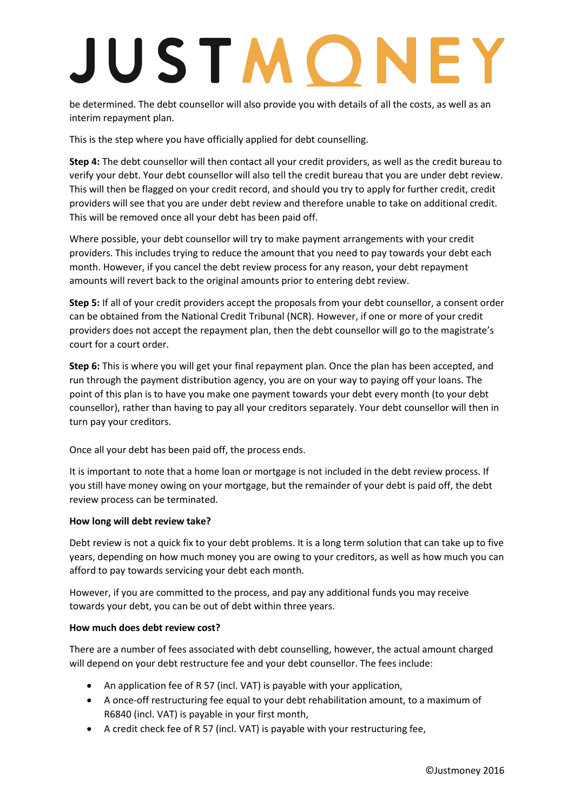## **IUSTMONEY**

be determined. The debt counsellor will also provide you with details of all the costs, as well as an interim repayment plan.

This is the step where you have officially applied for debt counselling.

**Step 4:** The debt counsellor will then contact all your credit providers, as well as the credit bureau to verify your debt. Your debt counsellor will also tell the credit bureau that you are under debt review. This will then be flagged on your credit record, and should you try to apply for further credit, credit providers will see that you are under debt review and therefore unable to take on additional credit. This will be removed once all your debt has been paid off.

Where possible, your debt counsellor will try to make payment arrangements with your credit providers. This includes trying to reduce the amount that you need to pay towards your debt each month. However, if you cancel the debt review process for any reason, your debt repayment amounts will revert back to the original amounts prior to entering debt review.

**Step 5:** If all of your credit providers accept the proposals from your debt counsellor, a consent order can be obtained from the National Credit Tribunal (NCR). However, if one or more of your credit providers does not accept the repayment plan, then the debt counsellor will go to the magistrate's court for a court order.

**Step 6:** This is where you will get your final repayment plan. Once the plan has been accepted, and run through the payment distribution agency, you are on your way to paying off your loans. The point of this plan is to have you make one payment towards your debt every month (to your debt counsellor), rather than having to pay all your creditors separately. Your debt counsellor will then in turn pay your creditors.

Once all your debt has been paid off, the process ends.

It is important to note that a home loan or mortgage is not included in the debt review process. If you still have money owing on your mortgage, but the remainder of your debt is paid off, the debt review process can be terminated.

### **How long will debt review take?**

Debt review is not a quick fix to your debt problems. It is a long term solution that can take up to five years, depending on how much money you are owing to your creditors, as well as how much you can afford to pay towards servicing your debt each month.

However, if you are committed to the process, and pay any additional funds you may receive towards your debt, you can be out of debt within three years.

### **How much does debt review cost?**

There are a number of fees associated with debt counselling, however, the actual amount charged will depend on your debt restructure fee and your debt counsellor. The fees include:

- An application fee of R 57 (incl. VAT) is payable with your application,
- A once-off restructuring fee equal to your debt rehabilitation amount, to a maximum of R6840 (incl. VAT) is payable in your first month,
- A credit check fee of R 57 (incl. VAT) is payable with your restructuring fee,